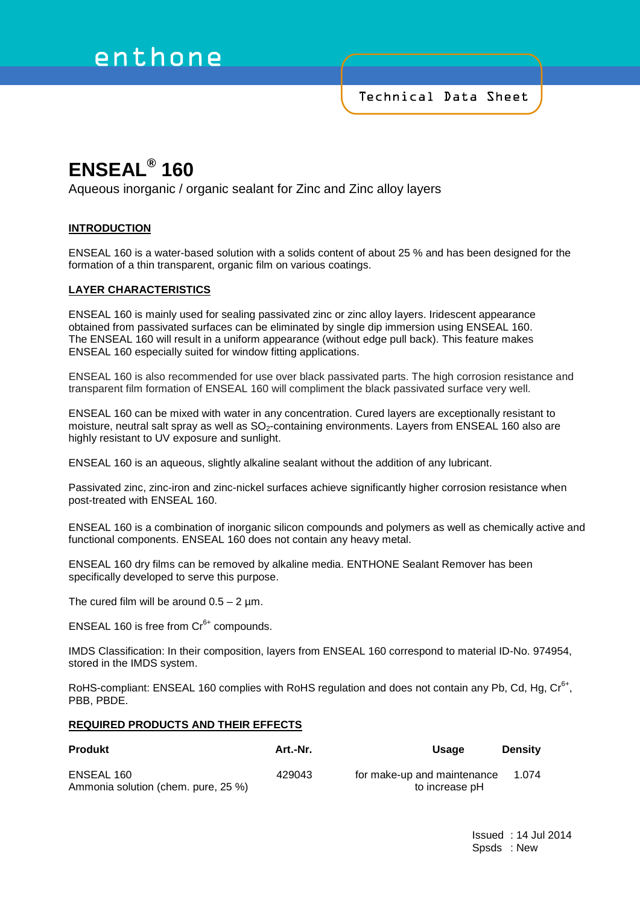# enthone

Technical Data Sheet

# **ENSEAL® 160**

Aqueous inorganic / organic sealant for Zinc and Zinc alloy layers

# **INTRODUCTION**

ENSEAL 160 is a water-based solution with a solids content of about 25 % and has been designed for the formation of a thin transparent, organic film on various coatings.

# **LAYER CHARACTERISTICS**

ENSEAL 160 is mainly used for sealing passivated zinc or zinc alloy layers. Iridescent appearance obtained from passivated surfaces can be eliminated by single dip immersion using ENSEAL 160. The ENSEAL 160 will result in a uniform appearance (without edge pull back). This feature makes ENSEAL 160 especially suited for window fitting applications.

ENSEAL 160 is also recommended for use over black passivated parts. The high corrosion resistance and transparent film formation of ENSEAL 160 will compliment the black passivated surface very well.

ENSEAL 160 can be mixed with water in any concentration. Cured layers are exceptionally resistant to moisture, neutral salt spray as well as  $SO<sub>2</sub>$ -containing environments. Layers from ENSEAL 160 also are highly resistant to UV exposure and sunlight.

ENSEAL 160 is an aqueous, slightly alkaline sealant without the addition of any lubricant.

Passivated zinc, zinc-iron and zinc-nickel surfaces achieve significantly higher corrosion resistance when post-treated with ENSEAL 160.

ENSEAL 160 is a combination of inorganic silicon compounds and polymers as well as chemically active and functional components. ENSEAL 160 does not contain any heavy metal.

ENSEAL 160 dry films can be removed by alkaline media. ENTHONE Sealant Remover has been specifically developed to serve this purpose.

The cured film will be around  $0.5 - 2 \mu m$ .

ENSEAL 160 is free from  $Cr<sup>6+</sup>$  compounds.

IMDS Classification: In their composition, layers from ENSEAL 160 correspond to material ID-No. 974954, stored in the IMDS system.

RoHS-compliant: ENSEAL 160 complies with RoHS regulation and does not contain any Pb, Cd, Hg, Cr<sup>6+</sup>, PBB, PBDE.

### **REQUIRED PRODUCTS AND THEIR EFFECTS**

| <b>Produkt</b>                                    | Art.-Nr. | <b>Usage</b>                                  | <b>Density</b> |
|---------------------------------------------------|----------|-----------------------------------------------|----------------|
| ENSEAL 160<br>Ammonia solution (chem. pure, 25 %) | 429043   | for make-up and maintenance<br>to increase pH | 1.074          |

Issued : 14 Jul 2014 Spsds : New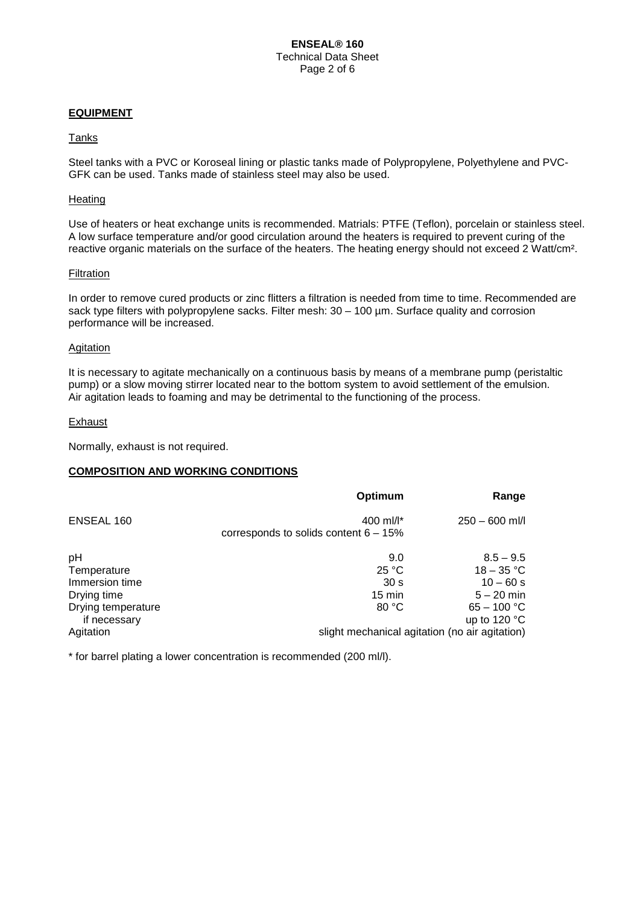### **EQUIPMENT**

#### Tanks

Steel tanks with a PVC or Koroseal lining or plastic tanks made of Polypropylene, Polyethylene and PVC-GFK can be used. Tanks made of stainless steel may also be used.

#### **Heating**

Use of heaters or heat exchange units is recommended. Matrials: PTFE (Teflon), porcelain or stainless steel. A low surface temperature and/or good circulation around the heaters is required to prevent curing of the reactive organic materials on the surface of the heaters. The heating energy should not exceed 2 Watt/cm².

#### **Filtration**

In order to remove cured products or zinc flitters a filtration is needed from time to time. Recommended are sack type filters with polypropylene sacks. Filter mesh: 30 - 100 µm. Surface quality and corrosion performance will be increased.

#### **Agitation**

It is necessary to agitate mechanically on a continuous basis by means of a membrane pump (peristaltic pump) or a slow moving stirrer located near to the bottom system to avoid settlement of the emulsion. Air agitation leads to foaming and may be detrimental to the functioning of the process.

#### Exhaust

Normally, exhaust is not required.

#### **COMPOSITION AND WORKING CONDITIONS**

|                                                                          | Optimum                                                      | Range                                                                       |
|--------------------------------------------------------------------------|--------------------------------------------------------------|-----------------------------------------------------------------------------|
| ENSEAL 160                                                               | 400 ml/ $\vert$ *<br>corresponds to solids content $6 - 15%$ | $250 - 600$ ml/l                                                            |
| pH<br>Temperature<br>Immersion time<br>Drying time<br>Drying temperature | 9.0<br>25 °C<br>30 <sub>s</sub><br>$15 \text{ min}$<br>80 °C | $8.5 - 9.5$<br>$18 - 35 °C$<br>$10 - 60 s$<br>$5 - 20$ min<br>$65 - 100 °C$ |
| if necessary<br>Agitation                                                |                                                              | up to 120 $\degree$ C<br>slight mechanical agitation (no air agitation)     |

\* for barrel plating a lower concentration is recommended (200 ml/l).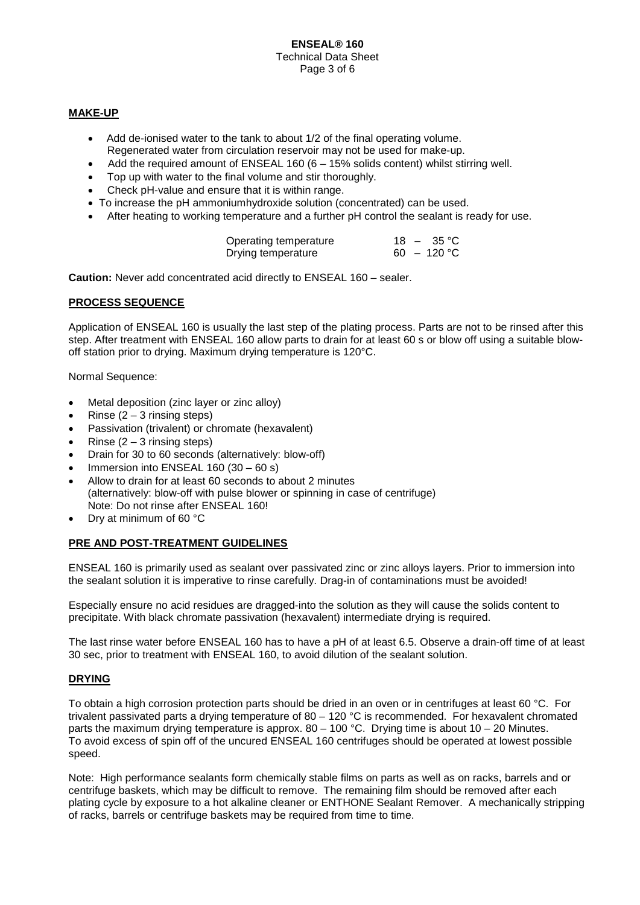### **ENSEAL® 160** Technical Data Sheet Page 3 of 6

# **MAKE-UP**

- Add de-ionised water to the tank to about 1/2 of the final operating volume. Regenerated water from circulation reservoir may not be used for make-up.
- Add the required amount of ENSEAL 160 ( $6 15\%$  solids content) whilst stirring well.
- Top up with water to the final volume and stir thoroughly.
- Check pH-value and ensure that it is within range.
- To increase the pH ammoniumhydroxide solution (concentrated) can be used.
- After heating to working temperature and a further pH control the sealant is ready for use.

| Operating temperature |  | $18 - 35 \degree C$ |
|-----------------------|--|---------------------|
| Drying temperature    |  | $60 - 120$ °C       |

**Caution:** Never add concentrated acid directly to ENSEAL 160 – sealer.

### **PROCESS SEQUENCE**

Application of ENSEAL 160 is usually the last step of the plating process. Parts are not to be rinsed after this step. After treatment with ENSEAL 160 allow parts to drain for at least 60 s or blow off using a suitable blowoff station prior to drying. Maximum drying temperature is 120°C.

Normal Sequence:

- Metal deposition (zinc layer or zinc alloy)
- Rinse  $(2 3)$  rinsing steps)
- Passivation (trivalent) or chromate (hexavalent)
- Rinse  $(2 3$  rinsing steps)
- Drain for 30 to 60 seconds (alternatively: blow-off)
- Immersion into ENSEAL 160 (30 60 s)
- Allow to drain for at least 60 seconds to about 2 minutes (alternatively: blow-off with pulse blower or spinning in case of centrifuge) Note: Do not rinse after ENSEAL 160!
- Dry at minimum of 60 °C

# **PRE AND POST-TREATMENT GUIDELINES**

ENSEAL 160 is primarily used as sealant over passivated zinc or zinc alloys layers. Prior to immersion into the sealant solution it is imperative to rinse carefully. Drag-in of contaminations must be avoided!

Especially ensure no acid residues are dragged-into the solution as they will cause the solids content to precipitate. With black chromate passivation (hexavalent) intermediate drying is required.

The last rinse water before ENSEAL 160 has to have a pH of at least 6.5. Observe a drain-off time of at least 30 sec, prior to treatment with ENSEAL 160, to avoid dilution of the sealant solution.

# **DRYING**

To obtain a high corrosion protection parts should be dried in an oven or in centrifuges at least 60 °C. For trivalent passivated parts a drying temperature of  $80 - 120$  °C is recommended. For hexavalent chromated parts the maximum drying temperature is approx. 80 – 100 °C. Drying time is about 10 – 20 Minutes. To avoid excess of spin off of the uncured ENSEAL 160 centrifuges should be operated at lowest possible speed.

Note: High performance sealants form chemically stable films on parts as well as on racks, barrels and or centrifuge baskets, which may be difficult to remove. The remaining film should be removed after each plating cycle by exposure to a hot alkaline cleaner or ENTHONE Sealant Remover. A mechanically stripping of racks, barrels or centrifuge baskets may be required from time to time.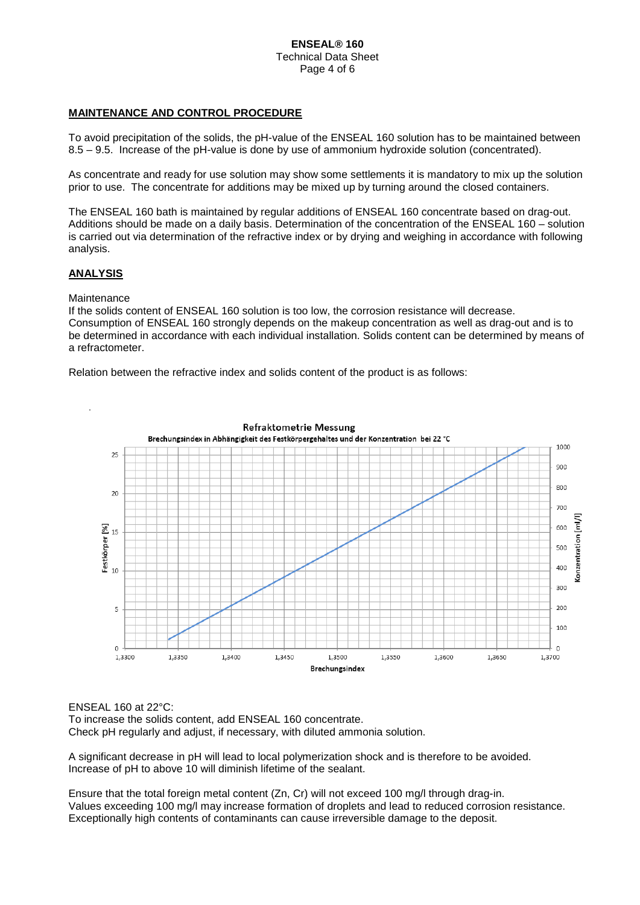### **ENSEAL® 160** Technical Data Sheet Page 4 of 6

# **MAINTENANCE AND CONTROL PROCEDURE**

To avoid precipitation of the solids, the pH-value of the ENSEAL 160 solution has to be maintained between 8.5 – 9.5. Increase of the pH-value is done by use of ammonium hydroxide solution (concentrated).

As concentrate and ready for use solution may show some settlements it is mandatory to mix up the solution prior to use. The concentrate for additions may be mixed up by turning around the closed containers.

The ENSEAL 160 bath is maintained by regular additions of ENSEAL 160 concentrate based on drag-out. Additions should be made on a daily basis. Determination of the concentration of the ENSEAL 160 – solution is carried out via determination of the refractive index or by drying and weighing in accordance with following analysis.

#### **ANALYSIS**

**Maintenance** 

If the solids content of ENSEAL 160 solution is too low, the corrosion resistance will decrease. Consumption of ENSEAL 160 strongly depends on the makeup concentration as well as drag-out and is to be determined in accordance with each individual installation. Solids content can be determined by means of a refractometer.

Relation between the refractive index and solids content of the product is as follows:



ENSEAL 160 at 22°C:

To increase the solids content, add ENSEAL 160 concentrate. Check pH regularly and adjust, if necessary, with diluted ammonia solution.

A significant decrease in pH will lead to local polymerization shock and is therefore to be avoided. Increase of pH to above 10 will diminish lifetime of the sealant.

Ensure that the total foreign metal content (Zn, Cr) will not exceed 100 mg/l through drag-in. Values exceeding 100 mg/l may increase formation of droplets and lead to reduced corrosion resistance. Exceptionally high contents of contaminants can cause irreversible damage to the deposit.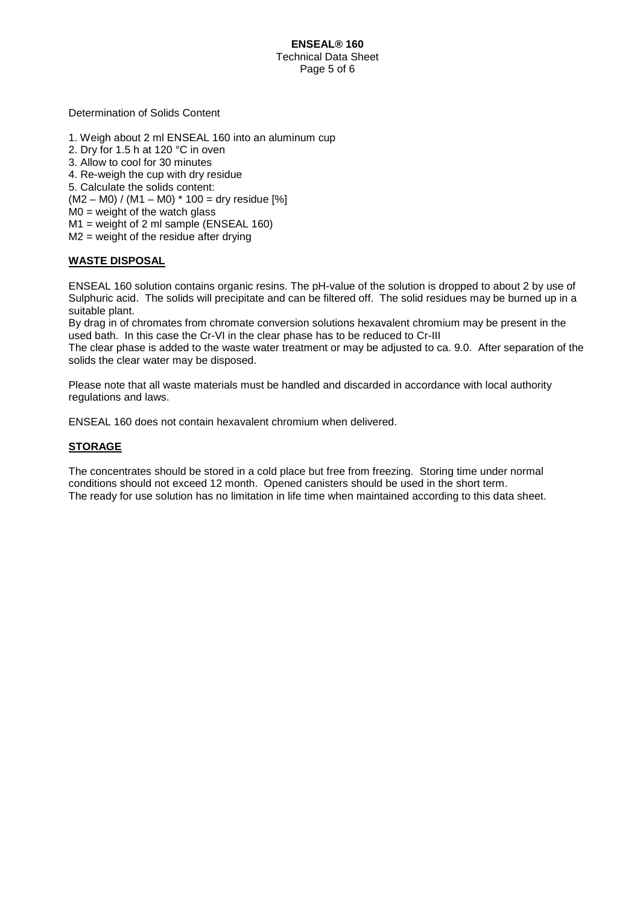Determination of Solids Content

- 1. Weigh about 2 ml ENSEAL 160 into an aluminum cup
- 2. Dry for 1.5 h at 120 °C in oven
- 3. Allow to cool for 30 minutes
- 4. Re-weigh the cup with dry residue
- 5. Calculate the solids content:
- $(M2 MO) / (M1 MO) * 100 = dry residue [%]$
- $MO = weight of the watch glass$
- M1 = weight of 2 ml sample (ENSEAL 160)
- M2 = weight of the residue after drying

# **WASTE DISPOSAL**

ENSEAL 160 solution contains organic resins. The pH-value of the solution is dropped to about 2 by use of Sulphuric acid. The solids will precipitate and can be filtered off. The solid residues may be burned up in a suitable plant.

By drag in of chromates from chromate conversion solutions hexavalent chromium may be present in the used bath. In this case the Cr-VI in the clear phase has to be reduced to Cr-III

The clear phase is added to the waste water treatment or may be adjusted to ca. 9.0. After separation of the solids the clear water may be disposed.

Please note that all waste materials must be handled and discarded in accordance with local authority regulations and laws.

ENSEAL 160 does not contain hexavalent chromium when delivered.

### **STORAGE**

The concentrates should be stored in a cold place but free from freezing. Storing time under normal conditions should not exceed 12 month. Opened canisters should be used in the short term. The ready for use solution has no limitation in life time when maintained according to this data sheet.